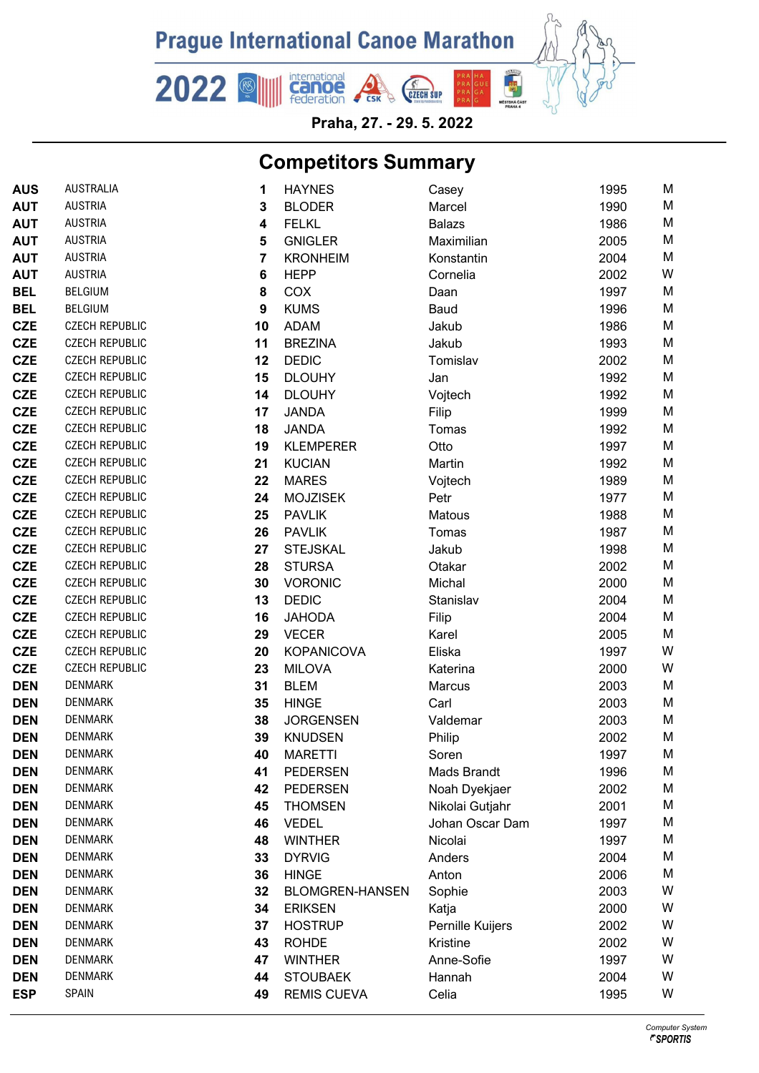

Praha, 27. - 29. 5. 2022

## **Competitors Summary**

| <b>AUS</b> | <b>AUSTRALIA</b>      | 1                       | <b>HAYNES</b>          | Casey            | 1995 | Μ |
|------------|-----------------------|-------------------------|------------------------|------------------|------|---|
| <b>AUT</b> | <b>AUSTRIA</b>        | 3                       | <b>BLODER</b>          | Marcel           | 1990 | M |
| <b>AUT</b> | <b>AUSTRIA</b>        | $\overline{\mathbf{4}}$ | <b>FELKL</b>           | <b>Balazs</b>    | 1986 | M |
| <b>AUT</b> | <b>AUSTRIA</b>        | 5                       | <b>GNIGLER</b>         | Maximilian       | 2005 | M |
| <b>AUT</b> | <b>AUSTRIA</b>        | 7                       | <b>KRONHEIM</b>        | Konstantin       | 2004 | M |
| <b>AUT</b> | <b>AUSTRIA</b>        | $6\phantom{1}6$         | <b>HEPP</b>            | Cornelia         | 2002 | W |
| <b>BEL</b> | <b>BELGIUM</b>        | 8                       | COX                    | Daan             | 1997 | M |
| <b>BEL</b> | <b>BELGIUM</b>        | $\boldsymbol{9}$        | <b>KUMS</b>            | Baud             | 1996 | M |
| <b>CZE</b> | <b>CZECH REPUBLIC</b> | 10                      | <b>ADAM</b>            | Jakub            | 1986 | M |
| <b>CZE</b> | <b>CZECH REPUBLIC</b> | 11                      | <b>BREZINA</b>         | Jakub            | 1993 | M |
| <b>CZE</b> | <b>CZECH REPUBLIC</b> | 12                      | <b>DEDIC</b>           | Tomislav         | 2002 | M |
| <b>CZE</b> | <b>CZECH REPUBLIC</b> | 15                      | <b>DLOUHY</b>          | Jan              | 1992 | M |
| <b>CZE</b> | <b>CZECH REPUBLIC</b> | 14                      | <b>DLOUHY</b>          | Vojtech          | 1992 | M |
| <b>CZE</b> | <b>CZECH REPUBLIC</b> | 17                      | <b>JANDA</b>           | Filip            | 1999 | M |
| <b>CZE</b> | <b>CZECH REPUBLIC</b> | 18                      | <b>JANDA</b>           | Tomas            | 1992 | M |
| <b>CZE</b> | <b>CZECH REPUBLIC</b> | 19                      | <b>KLEMPERER</b>       | Otto             | 1997 | M |
| <b>CZE</b> | <b>CZECH REPUBLIC</b> | 21                      | <b>KUCIAN</b>          | Martin           | 1992 | M |
| <b>CZE</b> | <b>CZECH REPUBLIC</b> | 22                      | <b>MARES</b>           | Vojtech          | 1989 | M |
| <b>CZE</b> | <b>CZECH REPUBLIC</b> | 24                      | <b>MOJZISEK</b>        | Petr             | 1977 | M |
| <b>CZE</b> | <b>CZECH REPUBLIC</b> | 25                      | <b>PAVLIK</b>          | Matous           | 1988 | M |
| <b>CZE</b> | <b>CZECH REPUBLIC</b> | 26                      | <b>PAVLIK</b>          | Tomas            | 1987 | M |
| <b>CZE</b> | <b>CZECH REPUBLIC</b> | 27                      | <b>STEJSKAL</b>        | Jakub            | 1998 | M |
| <b>CZE</b> | <b>CZECH REPUBLIC</b> | 28                      | <b>STURSA</b>          | Otakar           | 2002 | M |
| <b>CZE</b> | <b>CZECH REPUBLIC</b> | 30                      | <b>VORONIC</b>         | Michal           | 2000 | M |
| <b>CZE</b> | <b>CZECH REPUBLIC</b> | 13                      | <b>DEDIC</b>           | Stanislav        | 2004 | M |
| <b>CZE</b> | <b>CZECH REPUBLIC</b> | 16                      | <b>JAHODA</b>          | Filip            | 2004 | M |
| <b>CZE</b> | <b>CZECH REPUBLIC</b> | 29                      | <b>VECER</b>           | Karel            | 2005 | M |
| <b>CZE</b> | <b>CZECH REPUBLIC</b> | 20                      | <b>KOPANICOVA</b>      | Eliska           | 1997 | W |
| <b>CZE</b> | <b>CZECH REPUBLIC</b> | 23                      | <b>MILOVA</b>          | Katerina         | 2000 | W |
| <b>DEN</b> | <b>DENMARK</b>        | 31                      | <b>BLEM</b>            | Marcus           | 2003 | M |
| <b>DEN</b> | <b>DENMARK</b>        | 35                      | <b>HINGE</b>           | Carl             | 2003 | M |
| <b>DEN</b> | <b>DENMARK</b>        | 38                      | <b>JORGENSEN</b>       | Valdemar         | 2003 | M |
| <b>DEN</b> | DENMARK               | 39                      | <b>KNUDSEN</b>         | Philip           | 2002 | М |
| <b>DEN</b> | <b>DENMARK</b>        | 40                      | <b>MARETTI</b>         | Soren            | 1997 | Μ |
| <b>DEN</b> | <b>DENMARK</b>        | 41                      | <b>PEDERSEN</b>        | Mads Brandt      | 1996 | Μ |
| <b>DEN</b> | <b>DENMARK</b>        | 42                      | <b>PEDERSEN</b>        | Noah Dyekjaer    | 2002 | M |
| <b>DEN</b> | <b>DENMARK</b>        | 45                      | <b>THOMSEN</b>         | Nikolai Gutjahr  | 2001 | Μ |
| <b>DEN</b> | <b>DENMARK</b>        | 46                      | <b>VEDEL</b>           | Johan Oscar Dam  | 1997 | Μ |
| <b>DEN</b> | <b>DENMARK</b>        | 48                      | <b>WINTHER</b>         | Nicolai          | 1997 | Μ |
| <b>DEN</b> | <b>DENMARK</b>        | 33                      | <b>DYRVIG</b>          | Anders           | 2004 | М |
| <b>DEN</b> | <b>DENMARK</b>        | 36                      | <b>HINGE</b>           | Anton            | 2006 | M |
| <b>DEN</b> | <b>DENMARK</b>        | 32                      | <b>BLOMGREN-HANSEN</b> | Sophie           | 2003 | W |
| <b>DEN</b> | <b>DENMARK</b>        | 34                      | <b>ERIKSEN</b>         | Katja            | 2000 | W |
| <b>DEN</b> | <b>DENMARK</b>        | 37                      | <b>HOSTRUP</b>         | Pernille Kuijers | 2002 | W |
| <b>DEN</b> | <b>DENMARK</b>        | 43                      | <b>ROHDE</b>           | Kristine         | 2002 | W |
| <b>DEN</b> | <b>DENMARK</b>        | 47                      | <b>WINTHER</b>         | Anne-Sofie       | 1997 | W |
| <b>DEN</b> | <b>DENMARK</b>        | 44                      | <b>STOUBAEK</b>        | Hannah           | 2004 | W |
| <b>ESP</b> | SPAIN                 | 49                      | <b>REMIS CUEVA</b>     | Celia            | 1995 | W |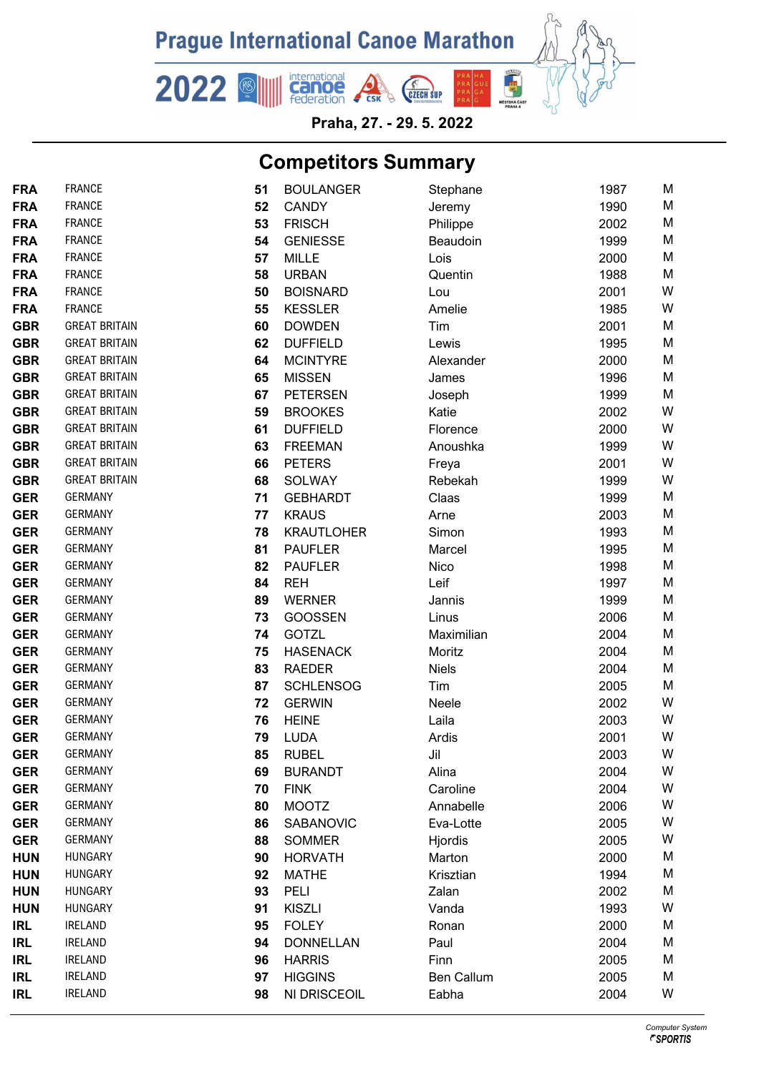

Praha, 27. - 29. 5. 2022

## **Competitors Summary**

| <b>FRA</b>               | <b>FRANCE</b>                    | 51       | <b>BOULANGER</b>                | Stephane          | 1987         | М      |
|--------------------------|----------------------------------|----------|---------------------------------|-------------------|--------------|--------|
| <b>FRA</b>               | <b>FRANCE</b>                    | 52       | <b>CANDY</b>                    | Jeremy            | 1990         | Μ      |
| <b>FRA</b>               | <b>FRANCE</b>                    | 53       | <b>FRISCH</b>                   | Philippe          | 2002         | M      |
| <b>FRA</b>               | <b>FRANCE</b>                    | 54       | <b>GENIESSE</b>                 | Beaudoin          | 1999         | M      |
| <b>FRA</b>               | <b>FRANCE</b>                    | 57       | <b>MILLE</b>                    | Lois              | 2000         | M      |
| <b>FRA</b>               | <b>FRANCE</b>                    | 58       | <b>URBAN</b>                    | Quentin           | 1988         | M      |
| <b>FRA</b>               | <b>FRANCE</b>                    | 50       | <b>BOISNARD</b>                 | Lou               | 2001         | W      |
| <b>FRA</b>               | <b>FRANCE</b>                    | 55       | <b>KESSLER</b>                  | Amelie            | 1985         | W      |
| <b>GBR</b>               | <b>GREAT BRITAIN</b>             | 60       | <b>DOWDEN</b>                   | Tim               | 2001         | M      |
| <b>GBR</b>               | <b>GREAT BRITAIN</b>             | 62       | <b>DUFFIELD</b>                 | Lewis             | 1995         | M      |
| <b>GBR</b>               | <b>GREAT BRITAIN</b>             | 64       | <b>MCINTYRE</b>                 | Alexander         | 2000         | M      |
| <b>GBR</b>               | <b>GREAT BRITAIN</b>             | 65       | <b>MISSEN</b>                   | James             | 1996         | M      |
| <b>GBR</b>               | <b>GREAT BRITAIN</b>             | 67       | <b>PETERSEN</b>                 | Joseph            | 1999         | M      |
| <b>GBR</b>               | <b>GREAT BRITAIN</b>             | 59       | <b>BROOKES</b>                  | Katie             | 2002         | W      |
| <b>GBR</b>               | <b>GREAT BRITAIN</b>             | 61       | <b>DUFFIELD</b>                 | Florence          | 2000         | W      |
| <b>GBR</b>               | <b>GREAT BRITAIN</b>             | 63       | <b>FREEMAN</b>                  | Anoushka          | 1999         | W      |
| <b>GBR</b>               | <b>GREAT BRITAIN</b>             | 66       | <b>PETERS</b>                   | Freya             | 2001         | W      |
| <b>GBR</b>               | <b>GREAT BRITAIN</b>             | 68       | <b>SOLWAY</b>                   | Rebekah           | 1999         | W      |
| <b>GER</b>               | <b>GERMANY</b>                   | 71       | <b>GEBHARDT</b>                 | Claas             | 1999         | M      |
| <b>GER</b>               | <b>GERMANY</b>                   | 77       | <b>KRAUS</b>                    | Arne              | 2003         | M      |
| <b>GER</b>               | <b>GERMANY</b>                   | 78       | <b>KRAUTLOHER</b>               | Simon             | 1993         | M      |
| <b>GER</b>               | <b>GERMANY</b>                   | 81       | <b>PAUFLER</b>                  | Marcel            | 1995         | M      |
| <b>GER</b>               | <b>GERMANY</b>                   | 82       | <b>PAUFLER</b>                  | Nico              | 1998         | M      |
| <b>GER</b>               | <b>GERMANY</b>                   | 84       | <b>REH</b>                      | Leif              | 1997         | M      |
| <b>GER</b>               | <b>GERMANY</b>                   | 89       | <b>WERNER</b>                   | Jannis            | 1999         | M      |
| <b>GER</b>               | <b>GERMANY</b>                   | 73       | <b>GOOSSEN</b>                  | Linus             | 2006         | M      |
| <b>GER</b>               | <b>GERMANY</b>                   | 74       | <b>GOTZL</b>                    | Maximilian        | 2004         | M      |
| <b>GER</b>               | <b>GERMANY</b>                   | 75       | <b>HASENACK</b>                 | Moritz            | 2004         | M      |
| <b>GER</b>               | <b>GERMANY</b>                   | 83       | <b>RAEDER</b>                   | <b>Niels</b>      | 2004         | M      |
| <b>GER</b>               | <b>GERMANY</b>                   | 87       | <b>SCHLENSOG</b>                | Tim               | 2005         | М      |
| <b>GER</b>               | <b>GERMANY</b>                   | 72       | <b>GERWIN</b>                   | Neele             | 2002         | W      |
| <b>GER</b>               | <b>GERMANY</b>                   | 76       | <b>HEINE</b>                    | Laila             | 2003         | W      |
| <b>GER</b>               | <b>GERMANY</b>                   | 79       | <b>LUDA</b>                     | Ardis             | 2001         | W      |
| <b>GER</b>               | <b>GERMANY</b>                   | 85       | <b>RUBEL</b>                    | Jil               | 2003         | W      |
| <b>GER</b>               | <b>GERMANY</b><br><b>GERMANY</b> | 69       | <b>BURANDT</b>                  | Alina             | 2004         | W      |
| <b>GER</b>               |                                  | 70       | <b>FINK</b>                     | Caroline          | 2004         | W      |
| <b>GER</b>               | <b>GERMANY</b><br><b>GERMANY</b> | 80       | <b>MOOTZ</b>                    | Annabelle         | 2006         | W      |
| <b>GER</b>               | <b>GERMANY</b>                   | 86       | SABANOVIC                       | Eva-Lotte         | 2005         | W<br>W |
| <b>GER</b>               | <b>HUNGARY</b>                   | 88<br>90 | <b>SOMMER</b><br><b>HORVATH</b> | Hjordis<br>Marton | 2005<br>2000 | M      |
| <b>HUN</b><br><b>HUN</b> | <b>HUNGARY</b>                   | 92       | <b>MATHE</b>                    | Krisztian         | 1994         | M      |
| <b>HUN</b>               | <b>HUNGARY</b>                   | 93       | PELI                            | Zalan             | 2002         | M      |
| <b>HUN</b>               | <b>HUNGARY</b>                   | 91       | <b>KISZLI</b>                   | Vanda             | 1993         | W      |
| <b>IRL</b>               | <b>IRELAND</b>                   | 95       | <b>FOLEY</b>                    | Ronan             | 2000         | M      |
| <b>IRL</b>               | <b>IRELAND</b>                   | 94       | <b>DONNELLAN</b>                | Paul              | 2004         | М      |
| <b>IRL</b>               | <b>IRELAND</b>                   | 96       | <b>HARRIS</b>                   | Finn              | 2005         | M      |
| <b>IRL</b>               | <b>IRELAND</b>                   | 97       | <b>HIGGINS</b>                  | <b>Ben Callum</b> | 2005         | М      |
| <b>IRL</b>               | <b>IRELAND</b>                   | 98       | NI DRISCEOIL                    | Eabha             | 2004         | W      |
|                          |                                  |          |                                 |                   |              |        |